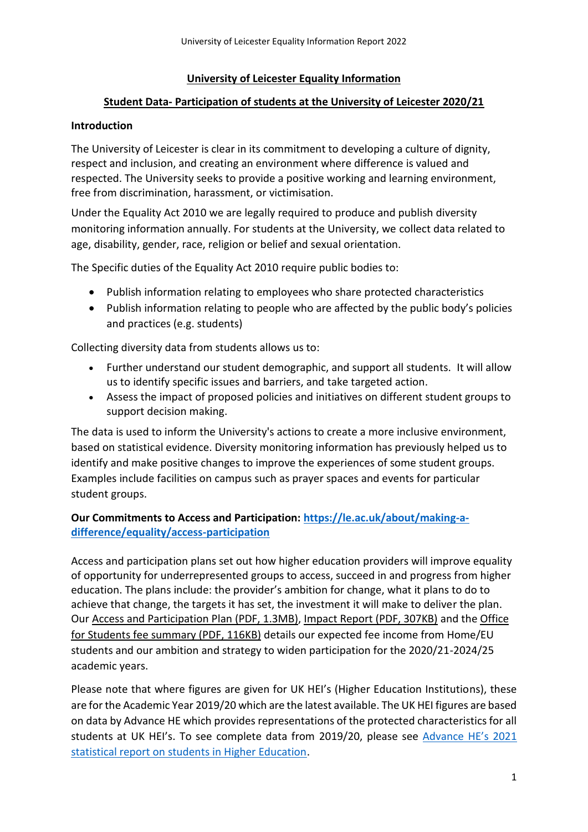## **University of Leicester Equality Information**

# **Student Data- Participation of students at the University of Leicester 2020/21**

# **Introduction**

The University of Leicester is clear in its commitment to developing a culture of dignity, respect and inclusion, and creating an environment where difference is valued and respected. The University seeks to provide a positive working and learning environment, free from discrimination, harassment, or victimisation.

Under the Equality Act 2010 we are legally required to produce and publish diversity monitoring information annually. For students at the University, we collect data related to age, disability, gender, race, religion or belief and sexual orientation.

The Specific duties of the Equality Act 2010 require public bodies to:

- Publish information relating to employees who share protected characteristics
- Publish information relating to people who are affected by the public body's policies and practices (e.g. students)

Collecting diversity data from students allows us to:

- Further understand our student demographic, and support all students. It will allow us to identify specific issues and barriers, and take targeted action.
- Assess the impact of proposed policies and initiatives on different student groups to support decision making.

The data is used to inform the University's actions to create a more inclusive environment, based on statistical evidence. Diversity monitoring information has previously helped us to identify and make positive changes to improve the experiences of some student groups. Examples include facilities on campus such as prayer spaces and events for particular student groups.

# **Our Commitments to Access and Participation: [https://le.ac.uk/about/making-a](https://le.ac.uk/about/making-a-difference/equality/access-participation)[difference/equality/access-participation](https://le.ac.uk/about/making-a-difference/equality/access-participation)**

Access and participation plans set out how higher education providers will improve equality of opportunity for underrepresented groups to access, succeed in and progress from higher education. The plans include: the provider's ambition for change, what it plans to do to achieve that change, the targets it has set, the investment it will make to deliver the plan. Our [Access and Participation Plan \(PDF, 1.3MB\),](https://le.ac.uk/-/media/uol/docs/about-us/equalities/equalities-data/theuniversityofleicester-app-2019-2020-v1-10007796.pdf) [Impact Report \(PDF, 307KB\)](https://le.ac.uk/-/media/uol/docs/about-us/equalities/wp/impact_report_10007796.pdf) and the [Office](https://le.ac.uk/-/media/uol/docs/about-us/equalities/wp/ofs-fee-information-2021-22.pdf)  [for Students fee summary \(PDF, 116KB\)](https://le.ac.uk/-/media/uol/docs/about-us/equalities/wp/ofs-fee-information-2021-22.pdf) details our expected fee income from Home/EU students and our ambition and strategy to widen participation for the 2020/21-2024/25 academic years.

Please note that where figures are given for UK HEI's (Higher Education Institutions), these are for the Academic Year 2019/20 which are the latest available. The UK HEI figures are based on data by Advance HE which provides representations of the protected characteristics for all students at UK HEI's. To see complete data from 2019/20, please see [Advance HE's 2021](https://www.advance-he.ac.uk/knowledge-hub/equality-higher-education-statistical-report-2021)  [statistical report on students in Higher Education.](https://www.advance-he.ac.uk/knowledge-hub/equality-higher-education-statistical-report-2021)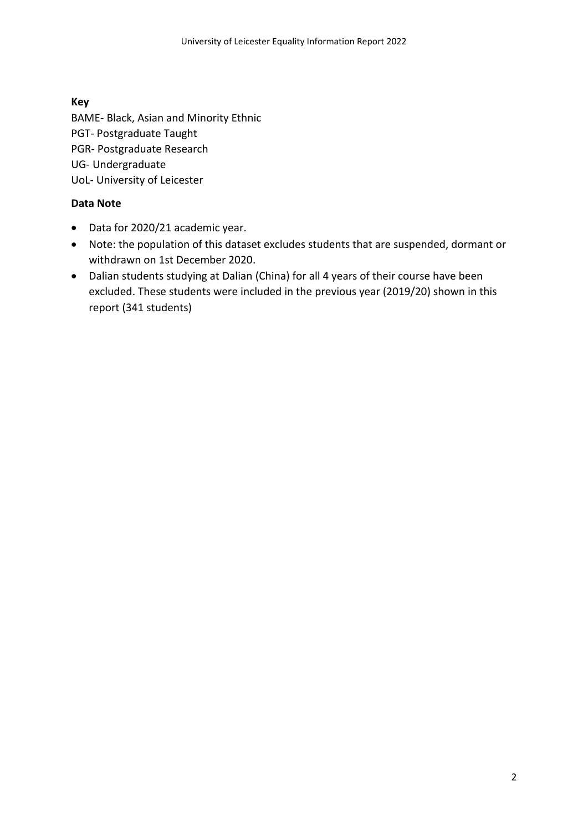## **Key**

BAME- Black, Asian and Minority Ethnic PGT- Postgraduate Taught PGR- Postgraduate Research UG- Undergraduate UoL- University of Leicester

## **Data Note**

- Data for 2020/21 academic year.
- Note: the population of this dataset excludes students that are suspended, dormant or withdrawn on 1st December 2020.
- Dalian students studying at Dalian (China) for all 4 years of their course have been excluded. These students were included in the previous year (2019/20) shown in this report (341 students)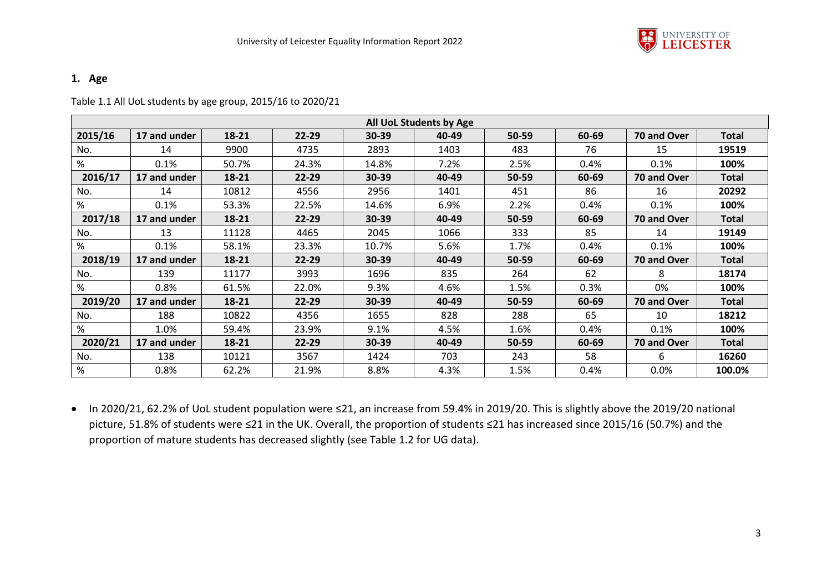

#### **1. Age**

Table 1.1 All UoL students by age group, 2015/16 to 2020/21

|         |              |       |           |       | All UoL Students by Age |       |       |             |              |
|---------|--------------|-------|-----------|-------|-------------------------|-------|-------|-------------|--------------|
| 2015/16 | 17 and under | 18-21 | $22 - 29$ | 30-39 | 40-49                   | 50-59 | 60-69 | 70 and Over | <b>Total</b> |
| No.     | 14           | 9900  | 4735      | 2893  | 1403                    | 483   | 76    | 15          | 19519        |
| %       | 0.1%         | 50.7% | 24.3%     | 14.8% | 7.2%                    | 2.5%  | 0.4%  | 0.1%        | 100%         |
| 2016/17 | 17 and under | 18-21 | $22 - 29$ | 30-39 | 40-49                   | 50-59 | 60-69 | 70 and Over | <b>Total</b> |
| No.     | 14           | 10812 | 4556      | 2956  | 1401                    | 451   | 86    | 16          | 20292        |
| %       | 0.1%         | 53.3% | 22.5%     | 14.6% | 6.9%                    | 2.2%  | 0.4%  | 0.1%        | 100%         |
| 2017/18 | 17 and under | 18-21 | $22 - 29$ | 30-39 | 40-49                   | 50-59 | 60-69 | 70 and Over | <b>Total</b> |
| No.     | 13           | 11128 | 4465      | 2045  | 1066                    | 333   | 85    | 14          | 19149        |
| %       | 0.1%         | 58.1% | 23.3%     | 10.7% | 5.6%                    | 1.7%  | 0.4%  | 0.1%        | 100%         |
| 2018/19 | 17 and under | 18-21 | $22 - 29$ | 30-39 | 40-49                   | 50-59 | 60-69 | 70 and Over | <b>Total</b> |
| No.     | 139          | 11177 | 3993      | 1696  | 835                     | 264   | 62    | 8           | 18174        |
| %       | 0.8%         | 61.5% | 22.0%     | 9.3%  | 4.6%                    | 1.5%  | 0.3%  | 0%          | 100%         |
| 2019/20 | 17 and under | 18-21 | 22-29     | 30-39 | 40-49                   | 50-59 | 60-69 | 70 and Over | <b>Total</b> |
| No.     | 188          | 10822 | 4356      | 1655  | 828                     | 288   | 65    | 10          | 18212        |
| %       | 1.0%         | 59.4% | 23.9%     | 9.1%  | 4.5%                    | 1.6%  | 0.4%  | 0.1%        | 100%         |
| 2020/21 | 17 and under | 18-21 | 22-29     | 30-39 | 40-49                   | 50-59 | 60-69 | 70 and Over | <b>Total</b> |
| No.     | 138          | 10121 | 3567      | 1424  | 703                     | 243   | 58    | 6           | 16260        |
| %       | 0.8%         | 62.2% | 21.9%     | 8.8%  | 4.3%                    | 1.5%  | 0.4%  | 0.0%        | 100.0%       |

 In 2020/21, 62.2% of UoL student population were ≤21, an increase from 59.4% in 2019/20. This is slightly above the 2019/20 national picture, 51.8% of students were ≤21 in the UK. Overall, the proportion of students ≤21 has increased since 2015/16 (50.7%) and the proportion of mature students has decreased slightly (see Table 1.2 for UG data).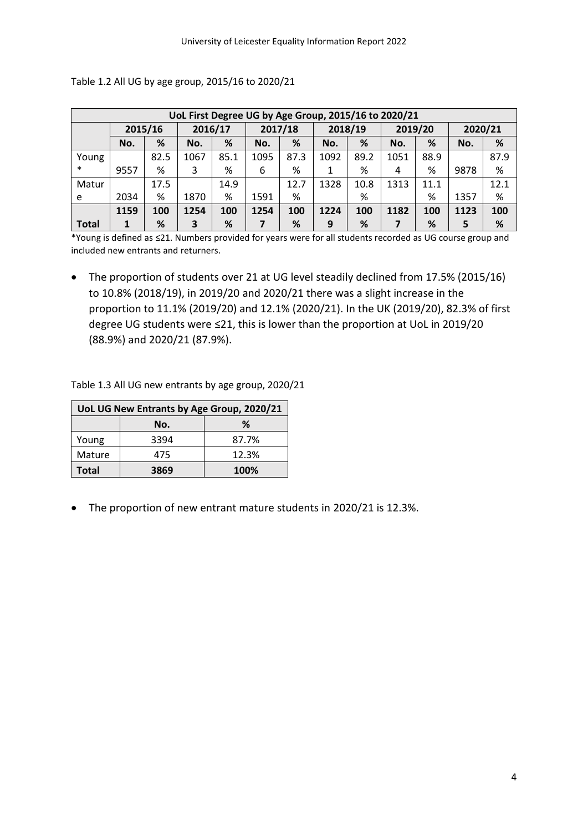|              | UoL First Degree UG by Age Group, 2015/16 to 2020/21 |      |      |      |         |      |         |      |         |      |         |      |  |
|--------------|------------------------------------------------------|------|------|------|---------|------|---------|------|---------|------|---------|------|--|
|              | 2016/17<br>2015/16                                   |      |      |      | 2017/18 |      | 2018/19 |      | 2019/20 |      | 2020/21 |      |  |
|              | No.                                                  | %    | No.  | %    | No.     | %    | No.     | %    | No.     | %    | No.     | %    |  |
| Young        |                                                      | 82.5 | 1067 | 85.1 | 1095    | 87.3 | 1092    | 89.2 | 1051    | 88.9 |         | 87.9 |  |
| $\ast$       | 9557                                                 | %    | 3    | %    | 6       | %    |         | %    | 4       | %    | 9878    | %    |  |
| Matur        |                                                      | 17.5 |      | 14.9 |         | 12.7 | 1328    | 10.8 | 1313    | 11.1 |         | 12.1 |  |
| e            | 2034                                                 | %    | 1870 | %    | 1591    | %    |         | %    |         | %    | 1357    | %    |  |
|              | 1159                                                 | 100  | 1254 | 100  | 1254    | 100  | 1224    | 100  | 1182    | 100  | 1123    | 100  |  |
| <b>Total</b> |                                                      | %    | 3    | %    |         | %    | 9       | %    |         | %    | 5       | %    |  |

Table 1.2 All UG by age group, 2015/16 to 2020/21

\*Young is defined as ≤21. Numbers provided for years were for all students recorded as UG course group and included new entrants and returners.

• The proportion of students over 21 at UG level steadily declined from 17.5% (2015/16) to 10.8% (2018/19), in 2019/20 and 2020/21 there was a slight increase in the proportion to 11.1% (2019/20) and 12.1% (2020/21). In the UK (2019/20), 82.3% of first degree UG students were ≤21, this is lower than the proportion at UoL in 2019/20 (88.9%) and 2020/21 (87.9%).

Table 1.3 All UG new entrants by age group, 2020/21

|              | UoL UG New Entrants by Age Group, 2020/21 |       |  |  |  |  |  |  |  |  |  |
|--------------|-------------------------------------------|-------|--|--|--|--|--|--|--|--|--|
| ℅<br>No.     |                                           |       |  |  |  |  |  |  |  |  |  |
| Young        | 3394                                      | 87.7% |  |  |  |  |  |  |  |  |  |
| Mature       | 475                                       | 12.3% |  |  |  |  |  |  |  |  |  |
| <b>Total</b> | 3869                                      | 100%  |  |  |  |  |  |  |  |  |  |

The proportion of new entrant mature students in 2020/21 is 12.3%.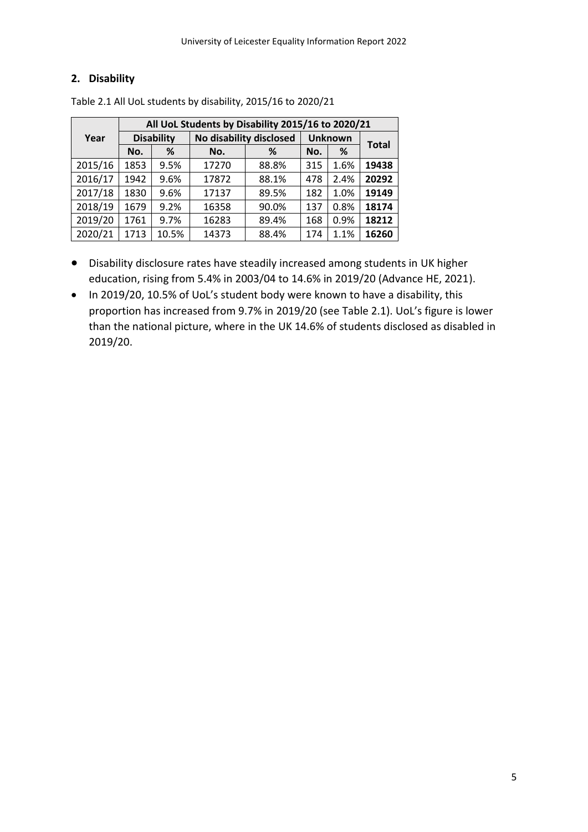## **2. Disability**

|         | All UoL Students by Disability 2015/16 to 2020/21 |                   |       |                         |                |      |              |  |
|---------|---------------------------------------------------|-------------------|-------|-------------------------|----------------|------|--------------|--|
| Year    |                                                   | <b>Disability</b> |       | No disability disclosed | <b>Unknown</b> |      |              |  |
|         | No.                                               | %                 | No.   | %                       | No.            | %    | <b>Total</b> |  |
| 2015/16 | 1853                                              | 9.5%              | 17270 | 88.8%                   | 315            | 1.6% | 19438        |  |
| 2016/17 | 1942                                              | 9.6%              | 17872 | 88.1%                   | 478            | 2.4% | 20292        |  |
| 2017/18 | 1830                                              | 9.6%              | 17137 | 89.5%                   | 182            | 1.0% | 19149        |  |
| 2018/19 | 1679                                              | 9.2%              | 16358 | 90.0%                   | 137            | 0.8% | 18174        |  |
| 2019/20 | 1761                                              | 9.7%              | 16283 | 89.4%                   | 168            | 0.9% | 18212        |  |
| 2020/21 | 1713                                              | 10.5%             | 14373 | 88.4%                   | 174            | 1.1% | 16260        |  |

Table 2.1 All UoL students by disability, 2015/16 to 2020/21

- Disability disclosure rates have steadily increased among students in UK higher education, rising from 5.4% in 2003/04 to 14.6% in 2019/20 (Advance HE, 2021).
- In 2019/20, 10.5% of UoL's student body were known to have a disability, this proportion has increased from 9.7% in 2019/20 (see Table 2.1). UoL's figure is lower than the national picture, where in the UK 14.6% of students disclosed as disabled in 2019/20.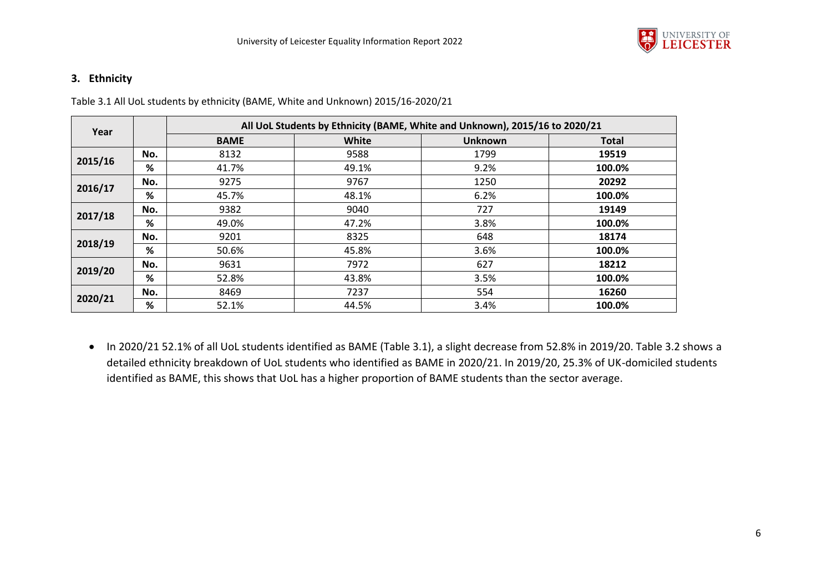

### **3. Ethnicity**

Table 3.1 All UoL students by ethnicity (BAME, White and Unknown) 2015/16-2020/21

| Year    |     |             |       | All UoL Students by Ethnicity (BAME, White and Unknown), 2015/16 to 2020/21 |              |
|---------|-----|-------------|-------|-----------------------------------------------------------------------------|--------------|
|         |     | <b>BAME</b> | White | <b>Unknown</b>                                                              | <b>Total</b> |
|         | No. | 8132        | 9588  | 1799                                                                        | 19519        |
| 2015/16 | %   | 41.7%       | 49.1% | 9.2%                                                                        | 100.0%       |
| 2016/17 | No. | 9275        | 9767  | 1250                                                                        | 20292        |
|         | %   | 45.7%       | 48.1% | 6.2%                                                                        | 100.0%       |
| 2017/18 | No. | 9382        | 9040  | 727                                                                         | 19149        |
|         | %   | 49.0%       | 47.2% | 3.8%                                                                        | 100.0%       |
| 2018/19 | No. | 9201        | 8325  | 648                                                                         | 18174        |
|         | %   | 50.6%       | 45.8% | 3.6%                                                                        | 100.0%       |
| 2019/20 | No. | 9631        | 7972  | 627                                                                         | 18212        |
|         | %   | 52.8%       | 43.8% | 3.5%                                                                        | 100.0%       |
| 2020/21 | No. | 8469        | 7237  | 554                                                                         | 16260        |
|         | %   | 52.1%       | 44.5% | 3.4%                                                                        | 100.0%       |

 In 2020/21 52.1% of all UoL students identified as BAME (Table 3.1), a slight decrease from 52.8% in 2019/20. Table 3.2 shows a detailed ethnicity breakdown of UoL students who identified as BAME in 2020/21. In 2019/20, 25.3% of UK-domiciled students identified as BAME, this shows that UoL has a higher proportion of BAME students than the sector average.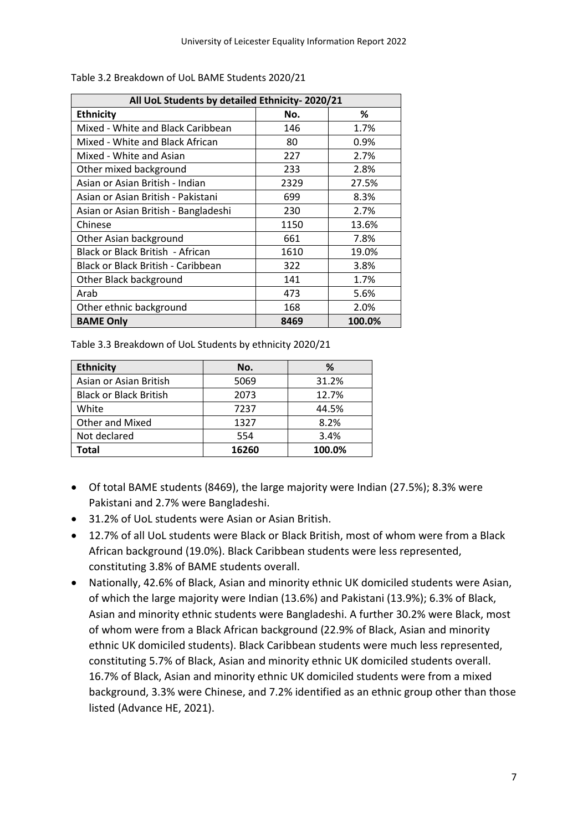| All UoL Students by detailed Ethnicity-2020/21 |      |        |
|------------------------------------------------|------|--------|
| <b>Ethnicity</b>                               | No.  | %      |
| Mixed - White and Black Caribbean              | 146  | 1.7%   |
| Mixed - White and Black African                | 80   | 0.9%   |
| Mixed - White and Asian                        | 227  | 2.7%   |
| Other mixed background                         | 233  | 2.8%   |
| Asian or Asian British - Indian                | 2329 | 27.5%  |
| Asian or Asian British - Pakistani             | 699  | 8.3%   |
| Asian or Asian British - Bangladeshi           | 230  | 2.7%   |
| Chinese                                        | 1150 | 13.6%  |
| Other Asian background                         | 661  | 7.8%   |
| Black or Black British - African               | 1610 | 19.0%  |
| Black or Black British - Caribbean             | 322  | 3.8%   |
| Other Black background                         | 141  | 1.7%   |
| Arab                                           | 473  | 5.6%   |
| Other ethnic background                        | 168  | 2.0%   |
| <b>BAME Only</b>                               | 8469 | 100.0% |

Table 3.2 Breakdown of UoL BAME Students 2020/21

Table 3.3 Breakdown of UoL Students by ethnicity 2020/21

| <b>Ethnicity</b>              | No.   | %      |
|-------------------------------|-------|--------|
| Asian or Asian British        | 5069  | 31.2%  |
| <b>Black or Black British</b> | 2073  | 12.7%  |
| White                         | 7237  | 44.5%  |
| <b>Other and Mixed</b>        | 1327  | 8.2%   |
| Not declared                  | 554   | 3.4%   |
| Total                         | 16260 | 100.0% |

- Of total BAME students (8469), the large majority were Indian (27.5%); 8.3% were Pakistani and 2.7% were Bangladeshi.
- 31.2% of UoL students were Asian or Asian British.
- 12.7% of all UoL students were Black or Black British, most of whom were from a Black African background (19.0%). Black Caribbean students were less represented, constituting 3.8% of BAME students overall.
- Nationally, 42.6% of Black, Asian and minority ethnic UK domiciled students were Asian, of which the large majority were Indian (13.6%) and Pakistani (13.9%); 6.3% of Black, Asian and minority ethnic students were Bangladeshi. A further 30.2% were Black, most of whom were from a Black African background (22.9% of Black, Asian and minority ethnic UK domiciled students). Black Caribbean students were much less represented, constituting 5.7% of Black, Asian and minority ethnic UK domiciled students overall. 16.7% of Black, Asian and minority ethnic UK domiciled students were from a mixed background, 3.3% were Chinese, and 7.2% identified as an ethnic group other than those listed (Advance HE, 2021).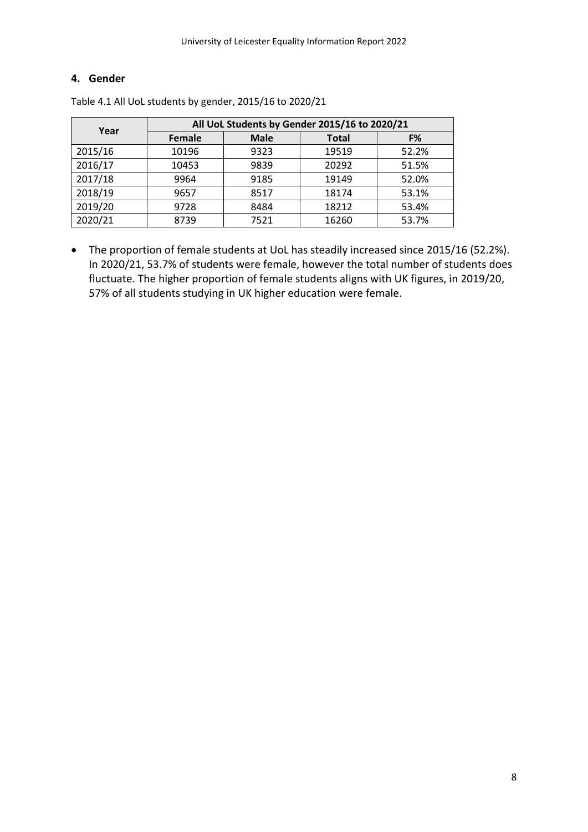### **4. Gender**

| Year    |        | All UoL Students by Gender 2015/16 to 2020/21 |              |       |  |  |  |  |  |  |  |  |
|---------|--------|-----------------------------------------------|--------------|-------|--|--|--|--|--|--|--|--|
|         | Female | <b>Male</b>                                   | <b>Total</b> | F%    |  |  |  |  |  |  |  |  |
| 2015/16 | 10196  | 9323                                          | 19519        | 52.2% |  |  |  |  |  |  |  |  |
| 2016/17 | 10453  | 9839                                          | 20292        | 51.5% |  |  |  |  |  |  |  |  |
| 2017/18 | 9964   | 9185                                          | 19149        | 52.0% |  |  |  |  |  |  |  |  |
| 2018/19 | 9657   | 8517                                          | 18174        | 53.1% |  |  |  |  |  |  |  |  |
| 2019/20 | 9728   | 8484                                          | 18212        | 53.4% |  |  |  |  |  |  |  |  |
| 2020/21 | 8739   | 7521                                          | 16260        | 53.7% |  |  |  |  |  |  |  |  |

Table 4.1 All UoL students by gender, 2015/16 to 2020/21

 The proportion of female students at UoL has steadily increased since 2015/16 (52.2%). In 2020/21, 53.7% of students were female, however the total number of students does fluctuate. The higher proportion of female students aligns with UK figures, in 2019/20, 57% of all students studying in UK higher education were female.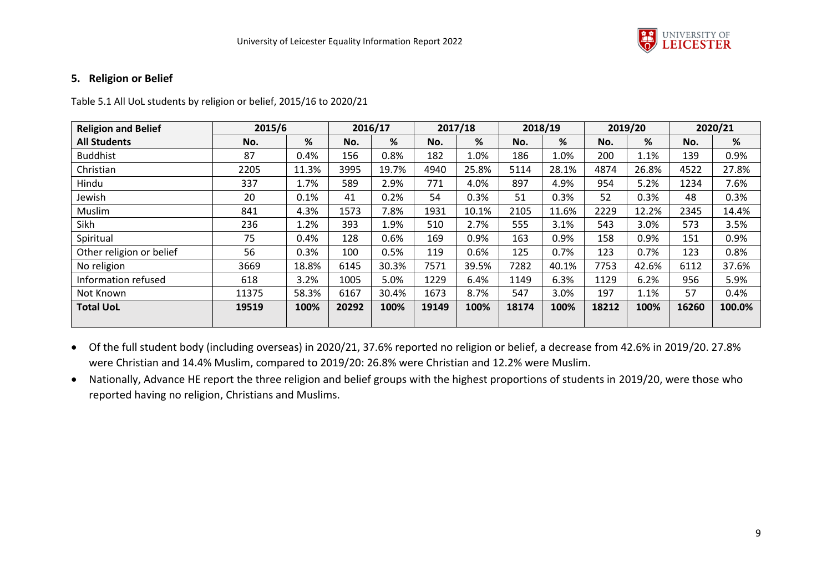

#### **5. Religion or Belief**

#### Table 5.1 All UoL students by religion or belief, 2015/16 to 2020/21

| <b>Religion and Belief</b> | 2015/6 |       |       | 2016/17 |       | 2017/18 |       | 2018/19 |       | 2019/20 |       | 2020/21 |
|----------------------------|--------|-------|-------|---------|-------|---------|-------|---------|-------|---------|-------|---------|
| <b>All Students</b>        | No.    | %     | No.   | %       | No.   | %       | No.   | %       | No.   | %       | No.   | %       |
| <b>Buddhist</b>            | 87     | 0.4%  | 156   | 0.8%    | 182   | 1.0%    | 186   | 1.0%    | 200   | 1.1%    | 139   | 0.9%    |
| Christian                  | 2205   | 11.3% | 3995  | 19.7%   | 4940  | 25.8%   | 5114  | 28.1%   | 4874  | 26.8%   | 4522  | 27.8%   |
| Hindu                      | 337    | 1.7%  | 589   | 2.9%    | 771   | 4.0%    | 897   | 4.9%    | 954   | 5.2%    | 1234  | 7.6%    |
| Jewish                     | 20     | 0.1%  | 41    | 0.2%    | 54    | 0.3%    | 51    | 0.3%    | 52    | 0.3%    | 48    | 0.3%    |
| Muslim                     | 841    | 4.3%  | 1573  | 7.8%    | 1931  | 10.1%   | 2105  | 11.6%   | 2229  | 12.2%   | 2345  | 14.4%   |
| Sikh                       | 236    | 1.2%  | 393   | 1.9%    | 510   | 2.7%    | 555   | 3.1%    | 543   | 3.0%    | 573   | 3.5%    |
| Spiritual                  | 75     | 0.4%  | 128   | 0.6%    | 169   | 0.9%    | 163   | 0.9%    | 158   | 0.9%    | 151   | 0.9%    |
| Other religion or belief   | 56     | 0.3%  | 100   | 0.5%    | 119   | 0.6%    | 125   | 0.7%    | 123   | 0.7%    | 123   | 0.8%    |
| No religion                | 3669   | 18.8% | 6145  | 30.3%   | 7571  | 39.5%   | 7282  | 40.1%   | 7753  | 42.6%   | 6112  | 37.6%   |
| Information refused        | 618    | 3.2%  | 1005  | 5.0%    | 1229  | 6.4%    | 1149  | 6.3%    | 1129  | 6.2%    | 956   | 5.9%    |
| Not Known                  | 11375  | 58.3% | 6167  | 30.4%   | 1673  | 8.7%    | 547   | 3.0%    | 197   | 1.1%    | 57    | 0.4%    |
| <b>Total UoL</b>           | 19519  | 100%  | 20292 | 100%    | 19149 | 100%    | 18174 | 100%    | 18212 | 100%    | 16260 | 100.0%  |

 Of the full student body (including overseas) in 2020/21, 37.6% reported no religion or belief, a decrease from 42.6% in 2019/20. 27.8% were Christian and 14.4% Muslim, compared to 2019/20: 26.8% were Christian and 12.2% were Muslim.

 Nationally, Advance HE report the three religion and belief groups with the highest proportions of students in 2019/20, were those who reported having no religion, Christians and Muslims.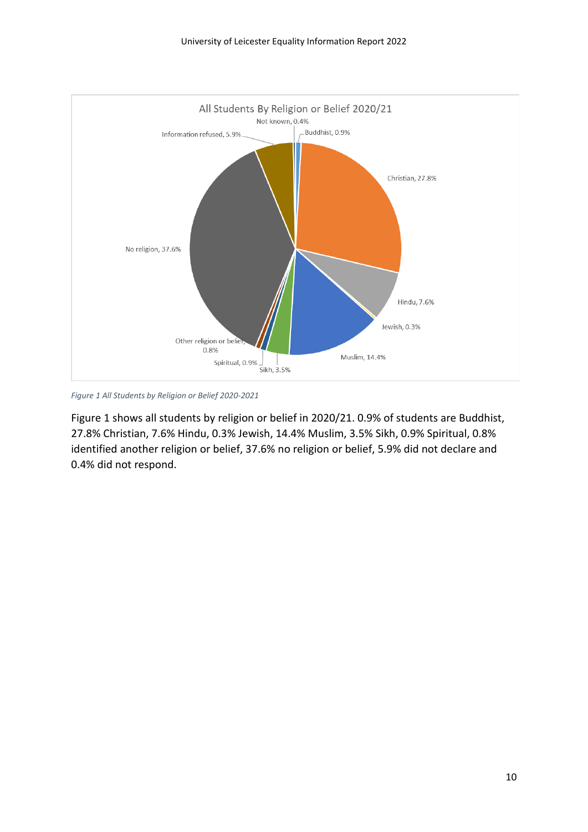

*Figure 1 All Students by Religion or Belief 2020-2021*

Figure 1 shows all students by religion or belief in 2020/21. 0.9% of students are Buddhist, 27.8% Christian, 7.6% Hindu, 0.3% Jewish, 14.4% Muslim, 3.5% Sikh, 0.9% Spiritual, 0.8% identified another religion or belief, 37.6% no religion or belief, 5.9% did not declare and 0.4% did not respond.